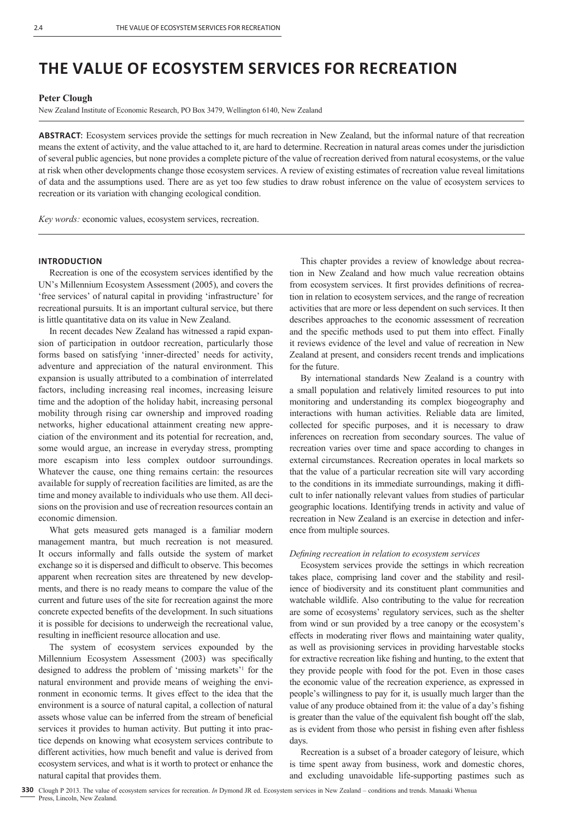# **THE VALUE OF ECOSYSTEM SERVICES FOR RECREATION**

## **Peter Clough**

New Zealand Institute of Economic Research, PO Box 3479, Wellington 6140, New Zealand

**ABSTRACT**: Ecosystem services provide the settings for much recreation in New Zealand, but the informal nature of that recreation means the extent of activity, and the value attached to it, are hard to determine. Recreation in natural areas comes under the jurisdiction of several public agencies, but none provides a complete picture of the value of recreation derived from natural ecosystems, or the value at risk when other developments change those ecosystem services. A review of existing estimates of recreation value reveal limitations of data and the assumptions used. There are as yet too few studies to draw robust inference on the value of ecosystem services to recreation or its variation with changing ecological condition.

*Key words:* economic values, ecosystem services, recreation.

#### **INTRODUCTION**

Recreation is one of the ecosystem services identified by the UN's Millennium Ecosystem Assessment (2005), and covers the 'free services' of natural capital in providing 'infrastructure' for recreational pursuits. It is an important cultural service, but there is little quantitative data on its value in New Zealand.

In recent decades New Zealand has witnessed a rapid expansion of participation in outdoor recreation, particularly those forms based on satisfying 'inner-directed' needs for activity, adventure and appreciation of the natural environment. This expansion is usually attributed to a combination of interrelated factors, including increasing real incomes, increasing leisure time and the adoption of the holiday habit, increasing personal mobility through rising car ownership and improved roading networks, higher educational attainment creating new appreciation of the environment and its potential for recreation, and, some would argue, an increase in everyday stress, prompting more escapism into less complex outdoor surroundings. Whatever the cause, one thing remains certain: the resources available for supply of recreation facilities are limited, as are the time and money available to individuals who use them. All decisions on the provision and use of recreation resources contain an economic dimension.

What gets measured gets managed is a familiar modern management mantra, but much recreation is not measured. It occurs informally and falls outside the system of market exchange so it is dispersed and difficult to observe. This becomes apparent when recreation sites are threatened by new developments, and there is no ready means to compare the value of the current and future uses of the site for recreation against the more concrete expected benefits of the development. In such situations it is possible for decisions to underweigh the recreational value, resulting in inefficient resource allocation and use.

The system of ecosystem services expounded by the Millennium Ecosystem Assessment (2003) was specifically designed to address the problem of 'missing markets'1 for the natural environment and provide means of weighing the environment in economic terms. It gives effect to the idea that the environment is a source of natural capital, a collection of natural assets whose value can be inferred from the stream of beneficial services it provides to human activity. But putting it into practice depends on knowing what ecosystem services contribute to different activities, how much benefit and value is derived from ecosystem services, and what is it worth to protect or enhance the natural capital that provides them.

This chapter provides a review of knowledge about recreation in New Zealand and how much value recreation obtains from ecosystem services. It first provides definitions of recreation in relation to ecosystem services, and the range of recreation activities that are more or less dependent on such services. It then describes approaches to the economic assessment of recreation and the specific methods used to put them into effect. Finally it reviews evidence of the level and value of recreation in New Zealand at present, and considers recent trends and implications for the future.

By international standards New Zealand is a country with a small population and relatively limited resources to put into monitoring and understanding its complex biogeography and interactions with human activities. Reliable data are limited, collected for specific purposes, and it is necessary to draw inferences on recreation from secondary sources. The value of recreation varies over time and space according to changes in external circumstances. Recreation operates in local markets so that the value of a particular recreation site will vary according to the conditions in its immediate surroundings, making it difficult to infer nationally relevant values from studies of particular geographic locations. Identifying trends in activity and value of recreation in New Zealand is an exercise in detection and inference from multiple sources.

#### *Defi ning recreation in relation to ecosystem services*

Ecosystem services provide the settings in which recreation takes place, comprising land cover and the stability and resilience of biodiversity and its constituent plant communities and watchable wildlife. Also contributing to the value for recreation are some of ecosystems' regulatory services, such as the shelter from wind or sun provided by a tree canopy or the ecosystem's effects in moderating river flows and maintaining water quality, as well as provisioning services in providing harvestable stocks for extractive recreation like fishing and hunting, to the extent that they provide people with food for the pot. Even in those cases the economic value of the recreation experience, as expressed in people's willingness to pay for it, is usually much larger than the value of any produce obtained from it: the value of a day's fishing is greater than the value of the equivalent fish bought off the slab, as is evident from those who persist in fishing even after fishless days.

Recreation is a subset of a broader category of leisure, which is time spent away from business, work and domestic chores, and excluding unavoidable life-supporting pastimes such as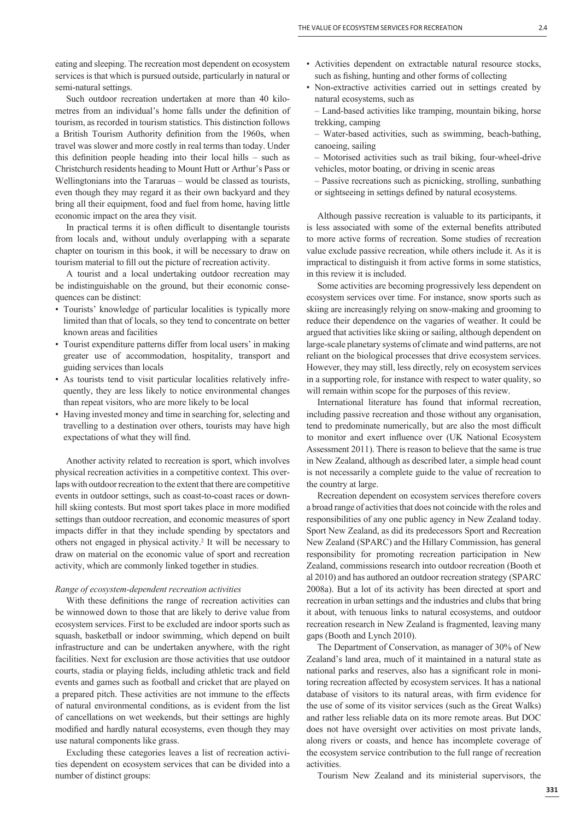eating and sleeping. The recreation most dependent on ecosystem services is that which is pursued outside, particularly in natural or semi-natural settings.

Such outdoor recreation undertaken at more than 40 kilometres from an individual's home falls under the definition of tourism, as recorded in tourism statistics. This distinction follows a British Tourism Authority definition from the 1960s, when travel was slower and more costly in real terms than today. Under this definition people heading into their local hills – such as Christchurch residents heading to Mount Hutt or Arthur's Pass or Wellingtonians into the Tararuas – would be classed as tourists, even though they may regard it as their own backyard and they bring all their equipment, food and fuel from home, having little economic impact on the area they visit.

In practical terms it is often difficult to disentangle tourists from locals and, without unduly overlapping with a separate chapter on tourism in this book, it will be necessary to draw on tourism material to fill out the picture of recreation activity.

A tourist and a local undertaking outdoor recreation may be indistinguishable on the ground, but their economic consequences can be distinct:

- Tourists' knowledge of particular localities is typically more limited than that of locals, so they tend to concentrate on better known areas and facilities
- Tourist expenditure patterns differ from local users' in making greater use of accommodation, hospitality, transport and guiding services than locals
- As tourists tend to visit particular localities relatively infrequently, they are less likely to notice environmental changes than repeat visitors, who are more likely to be local
- Having invested money and time in searching for, selecting and travelling to a destination over others, tourists may have high expectations of what they will find.

Another activity related to recreation is sport, which involves physical recreation activities in a competitive context. This overlaps with outdoor recreation to the extent that there are competitive events in outdoor settings, such as coast-to-coast races or downhill skiing contests. But most sport takes place in more modified settings than outdoor recreation, and economic measures of sport impacts differ in that they include spending by spectators and others not engaged in physical activity.2 It will be necessary to draw on material on the economic value of sport and recreation activity, which are commonly linked together in studies.

#### *Range of ecosystem-dependent recreation activities*

With these definitions the range of recreation activities can be winnowed down to those that are likely to derive value from ecosystem services. First to be excluded are indoor sports such as squash, basketball or indoor swimming, which depend on built infrastructure and can be undertaken anywhere, with the right facilities. Next for exclusion are those activities that use outdoor courts, stadia or playing fields, including athletic track and field events and games such as football and cricket that are played on a prepared pitch. These activities are not immune to the effects of natural environmental conditions, as is evident from the list of cancellations on wet weekends, but their settings are highly modified and hardly natural ecosystems, even though they may use natural components like grass.

Excluding these categories leaves a list of recreation activities dependent on ecosystem services that can be divided into a number of distinct groups:

- Activities dependent on extractable natural resource stocks, such as fishing, hunting and other forms of collecting
- Non-extractive activities carried out in settings created by natural ecosystems, such as
	- Land-based activities like tramping, mountain biking, horse trekking, camping
	- Water-based activities, such as swimming, beach-bathing, canoeing, sailing
	- Motorised activities such as trail biking, four-wheel-drive vehicles, motor boating, or driving in scenic areas
	- Passive recreations such as picnicking, strolling, sunbathing or sightseeing in settings defined by natural ecosystems.

Although passive recreation is valuable to its participants, it is less associated with some of the external benefits attributed to more active forms of recreation. Some studies of recreation value exclude passive recreation, while others include it. As it is impractical to distinguish it from active forms in some statistics, in this review it is included.

Some activities are becoming progressively less dependent on ecosystem services over time. For instance, snow sports such as skiing are increasingly relying on snow-making and grooming to reduce their dependence on the vagaries of weather. It could be argued that activities like skiing or sailing, although dependent on large-scale planetary systems of climate and wind patterns, are not reliant on the biological processes that drive ecosystem services. However, they may still, less directly, rely on ecosystem services in a supporting role, for instance with respect to water quality, so will remain within scope for the purposes of this review.

International literature has found that informal recreation, including passive recreation and those without any organisation, tend to predominate numerically, but are also the most difficult to monitor and exert influence over (UK National Ecosystem Assessment 2011). There is reason to believe that the same is true in New Zealand, although as described later, a simple head count is not necessarily a complete guide to the value of recreation to the country at large.

Recreation dependent on ecosystem services therefore covers a broad range of activities that does not coincide with the roles and responsibilities of any one public agency in New Zealand today. Sport New Zealand, as did its predecessors Sport and Recreation New Zealand (SPARC) and the Hillary Commission, has general responsibility for promoting recreation participation in New Zealand, commissions research into outdoor recreation (Booth et al 2010) and has authored an outdoor recreation strategy (SPARC 2008a). But a lot of its activity has been directed at sport and recreation in urban settings and the industries and clubs that bring it about, with tenuous links to natural ecosystems, and outdoor recreation research in New Zealand is fragmented, leaving many gaps (Booth and Lynch 2010).

The Department of Conservation, as manager of 30% of New Zealand's land area, much of it maintained in a natural state as national parks and reserves, also has a significant role in monitoring recreation affected by ecosystem services. It has a national database of visitors to its natural areas, with firm evidence for the use of some of its visitor services (such as the Great Walks) and rather less reliable data on its more remote areas. But DOC does not have oversight over activities on most private lands, along rivers or coasts, and hence has incomplete coverage of the ecosystem service contribution to the full range of recreation activities.

Tourism New Zealand and its ministerial supervisors, the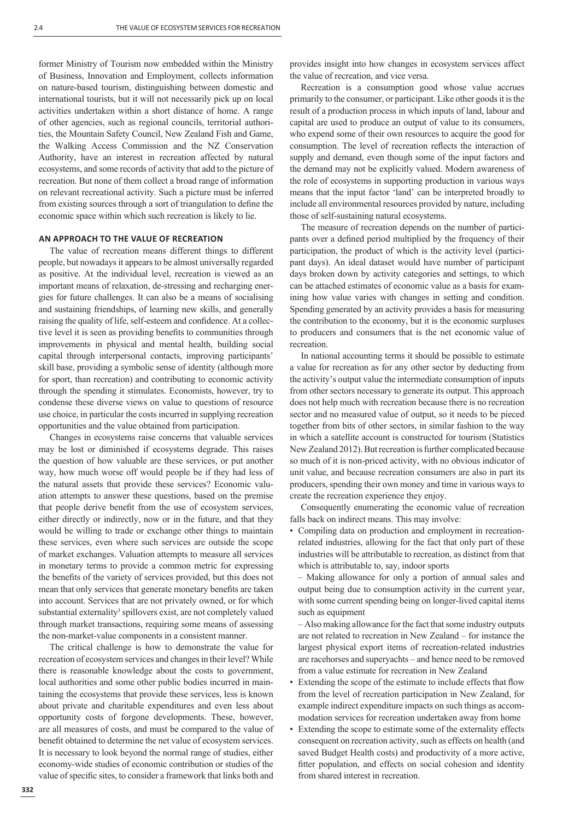former Ministry of Tourism now embedded within the Ministry of Business, Innovation and Employment, collects information on nature-based tourism, distinguishing between domestic and international tourists, but it will not necessarily pick up on local activities undertaken within a short distance of home. A range of other agencies, such as regional councils, territorial authorities, the Mountain Safety Council, New Zealand Fish and Game, the Walking Access Commission and the NZ Conservation Authority, have an interest in recreation affected by natural ecosystems, and some records of activity that add to the picture of recreation. But none of them collect a broad range of information on relevant recreational activity. Such a picture must be inferred from existing sources through a sort of triangulation to define the economic space within which such recreation is likely to lie.

## **AN APPROACH TO THE VALUE OF RECREATION**

The value of recreation means different things to different people, but nowadays it appears to be almost universally regarded as positive. At the individual level, recreation is viewed as an important means of relaxation, de-stressing and recharging energies for future challenges. It can also be a means of socialising and sustaining friendships, of learning new skills, and generally raising the quality of life, self-esteem and confidence. At a collective level it is seen as providing benefits to communities through improvements in physical and mental health, building social capital through interpersonal contacts, improving participants' skill base, providing a symbolic sense of identity (although more for sport, than recreation) and contributing to economic activity through the spending it stimulates. Economists, however, try to condense these diverse views on value to questions of resource use choice, in particular the costs incurred in supplying recreation opportunities and the value obtained from participation.

Changes in ecosystems raise concerns that valuable services may be lost or diminished if ecosystems degrade. This raises the question of how valuable are these services, or put another way, how much worse off would people be if they had less of the natural assets that provide these services? Economic valuation attempts to answer these questions, based on the premise that people derive benefit from the use of ecosystem services, either directly or indirectly, now or in the future, and that they would be willing to trade or exchange other things to maintain these services, even where such services are outside the scope of market exchanges. Valuation attempts to measure all services in monetary terms to provide a common metric for expressing the benefits of the variety of services provided, but this does not mean that only services that generate monetary benefits are taken into account. Services that are not privately owned, or for which substantial externality<sup>3</sup> spillovers exist, are not completely valued through market transactions, requiring some means of assessing the non-market-value components in a consistent manner.

The critical challenge is how to demonstrate the value for recreation of ecosystem services and changes in their level? While there is reasonable knowledge about the costs to government, local authorities and some other public bodies incurred in maintaining the ecosystems that provide these services, less is known about private and charitable expenditures and even less about opportunity costs of forgone developments. These, however, are all measures of costs, and must be compared to the value of benefit obtained to determine the net value of ecosystem services. It is necessary to look beyond the normal range of studies, either economy-wide studies of economic contribution or studies of the value of specific sites, to consider a framework that links both and

provides insight into how changes in ecosystem services affect the value of recreation, and vice versa.

Recreation is a consumption good whose value accrues primarily to the consumer, or participant. Like other goods it is the result of a production process in which inputs of land, labour and capital are used to produce an output of value to its consumers, who expend some of their own resources to acquire the good for consumption. The level of recreation reflects the interaction of supply and demand, even though some of the input factors and the demand may not be explicitly valued. Modern awareness of the role of ecosystems in supporting production in various ways means that the input factor 'land' can be interpreted broadly to include all environmental resources provided by nature, including those of self-sustaining natural ecosystems.

The measure of recreation depends on the number of participants over a defined period multiplied by the frequency of their participation, the product of which is the activity level (participant days). An ideal dataset would have number of participant days broken down by activity categories and settings, to which can be attached estimates of economic value as a basis for examining how value varies with changes in setting and condition. Spending generated by an activity provides a basis for measuring the contribution to the economy, but it is the economic surpluses to producers and consumers that is the net economic value of recreation.

In national accounting terms it should be possible to estimate a value for recreation as for any other sector by deducting from the activity's output value the intermediate consumption of inputs from other sectors necessary to generate its output. This approach does not help much with recreation because there is no recreation sector and no measured value of output, so it needs to be pieced together from bits of other sectors, in similar fashion to the way in which a satellite account is constructed for tourism (Statistics New Zealand 2012). But recreation is further complicated because so much of it is non-priced activity, with no obvious indicator of unit value, and because recreation consumers are also in part its producers, spending their own money and time in various ways to create the recreation experience they enjoy.

Consequently enumerating the economic value of recreation falls back on indirect means. This may involve:

• Compiling data on production and employment in recreationrelated industries, allowing for the fact that only part of these industries will be attributable to recreation, as distinct from that which is attributable to, say, indoor sports

 – Making allowance for only a portion of annual sales and output being due to consumption activity in the current year, with some current spending being on longer-lived capital items such as equipment

 – Also making allowance for the fact that some industry outputs are not related to recreation in New Zealand – for instance the largest physical export items of recreation-related industries are racehorses and superyachts – and hence need to be removed from a value estimate for recreation in New Zealand

- Extending the scope of the estimate to include effects that flow from the level of recreation participation in New Zealand, for example indirect expenditure impacts on such things as accommodation services for recreation undertaken away from home
- Extending the scope to estimate some of the externality effects consequent on recreation activity, such as effects on health (and saved Budget Health costs) and productivity of a more active, fitter population, and effects on social cohesion and identity from shared interest in recreation.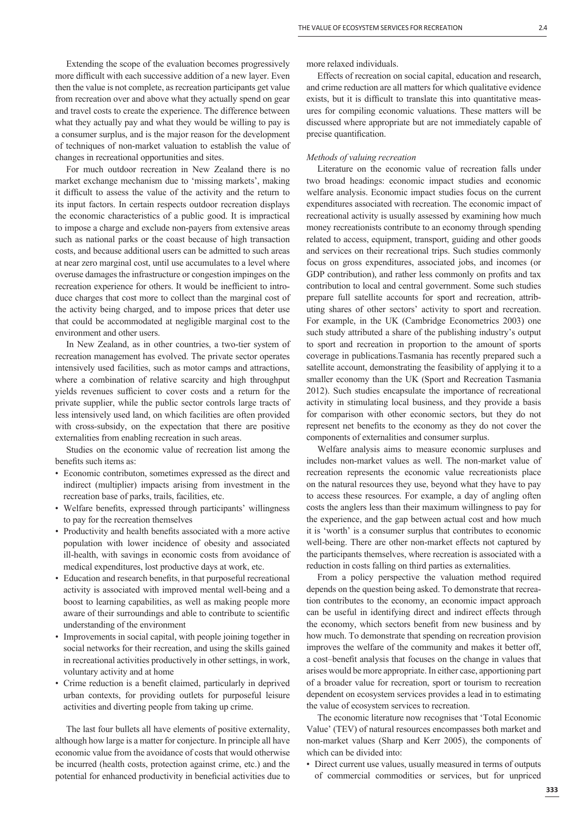Extending the scope of the evaluation becomes progressively more difficult with each successive addition of a new layer. Even then the value is not complete, as recreation participants get value from recreation over and above what they actually spend on gear and travel costs to create the experience. The difference between what they actually pay and what they would be willing to pay is a consumer surplus, and is the major reason for the development of techniques of non-market valuation to establish the value of changes in recreational opportunities and sites.

For much outdoor recreation in New Zealand there is no market exchange mechanism due to 'missing markets', making it difficult to assess the value of the activity and the return to its input factors. In certain respects outdoor recreation displays the economic characteristics of a public good. It is impractical to impose a charge and exclude non-payers from extensive areas such as national parks or the coast because of high transaction costs, and because additional users can be admitted to such areas at near zero marginal cost, until use accumulates to a level where overuse damages the infrastructure or congestion impinges on the recreation experience for others. It would be inefficient to introduce charges that cost more to collect than the marginal cost of the activity being charged, and to impose prices that deter use that could be accommodated at negligible marginal cost to the environment and other users.

In New Zealand, as in other countries, a two-tier system of recreation management has evolved. The private sector operates intensively used facilities, such as motor camps and attractions, where a combination of relative scarcity and high throughput yields revenues sufficient to cover costs and a return for the private supplier, while the public sector controls large tracts of less intensively used land, on which facilities are often provided with cross-subsidy, on the expectation that there are positive externalities from enabling recreation in such areas.

Studies on the economic value of recreation list among the benefits such items as:

- Economic contributon, sometimes expressed as the direct and indirect (multiplier) impacts arising from investment in the recreation base of parks, trails, facilities, etc.
- Welfare benefits, expressed through participants' willingness to pay for the recreation themselves
- Productivity and health benefits associated with a more active population with lower incidence of obesity and associated ill-health, with savings in economic costs from avoidance of medical expenditures, lost productive days at work, etc.
- Education and research benefits, in that purposeful recreational activity is associated with improved mental well-being and a boost to learning capabilities, as well as making people more aware of their surroundings and able to contribute to scientific understanding of the environment
- Improvements in social capital, with people joining together in social networks for their recreation, and using the skills gained in recreational activities productively in other settings, in work, voluntary activity and at home
- Crime reduction is a benefit claimed, particularly in deprived urban contexts, for providing outlets for purposeful leisure activities and diverting people from taking up crime.

The last four bullets all have elements of positive externality, although how large is a matter for conjecture. In principle all have economic value from the avoidance of costs that would otherwise be incurred (health costs, protection against crime, etc.) and the potential for enhanced productivity in beneficial activities due to more relaxed individuals.

Effects of recreation on social capital, education and research, and crime reduction are all matters for which qualitative evidence exists, but it is difficult to translate this into quantitative measures for compiling economic valuations. These matters will be discussed where appropriate but are not immediately capable of precise quantification.

#### *Methods of valuing recreation*

Literature on the economic value of recreation falls under two broad headings: economic impact studies and economic welfare analysis. Economic impact studies focus on the current expenditures associated with recreation. The economic impact of recreational activity is usually assessed by examining how much money recreationists contribute to an economy through spending related to access, equipment, transport, guiding and other goods and services on their recreational trips. Such studies commonly focus on gross expenditures, associated jobs, and incomes (or GDP contribution), and rather less commonly on profits and tax contribution to local and central government. Some such studies prepare full satellite accounts for sport and recreation, attributing shares of other sectors' activity to sport and recreation. For example, in the UK (Cambridge Econometrics 2003) one such study attributed a share of the publishing industry's output to sport and recreation in proportion to the amount of sports coverage in publications.Tasmania has recently prepared such a satellite account, demonstrating the feasibility of applying it to a smaller economy than the UK (Sport and Recreation Tasmania 2012). Such studies encapsulate the importance of recreational activity in stimulating local business, and they provide a basis for comparison with other economic sectors, but they do not represent net benefits to the economy as they do not cover the components of externalities and consumer surplus.

Welfare analysis aims to measure economic surpluses and includes non-market values as well. The non-market value of recreation represents the economic value recreationists place on the natural resources they use, beyond what they have to pay to access these resources. For example, a day of angling often costs the anglers less than their maximum willingness to pay for the experience, and the gap between actual cost and how much it is 'worth' is a consumer surplus that contributes to economic well-being. There are other non-market effects not captured by the participants themselves, where recreation is associated with a reduction in costs falling on third parties as externalities.

From a policy perspective the valuation method required depends on the question being asked. To demonstrate that recreation contributes to the economy, an economic impact approach can be useful in identifying direct and indirect effects through the economy, which sectors benefit from new business and by how much. To demonstrate that spending on recreation provision improves the welfare of the community and makes it better off, a cost-benefit analysis that focuses on the change in values that arises would be more appropriate. In either case, apportioning part of a broader value for recreation, sport or tourism to recreation dependent on ecosystem services provides a lead in to estimating the value of ecosystem services to recreation.

The economic literature now recognises that 'Total Economic Value' (TEV) of natural resources encompasses both market and non-market values (Sharp and Kerr 2005), the components of which can be divided into:

• Direct current use values, usually measured in terms of outputs of commercial commodities or services, but for unpriced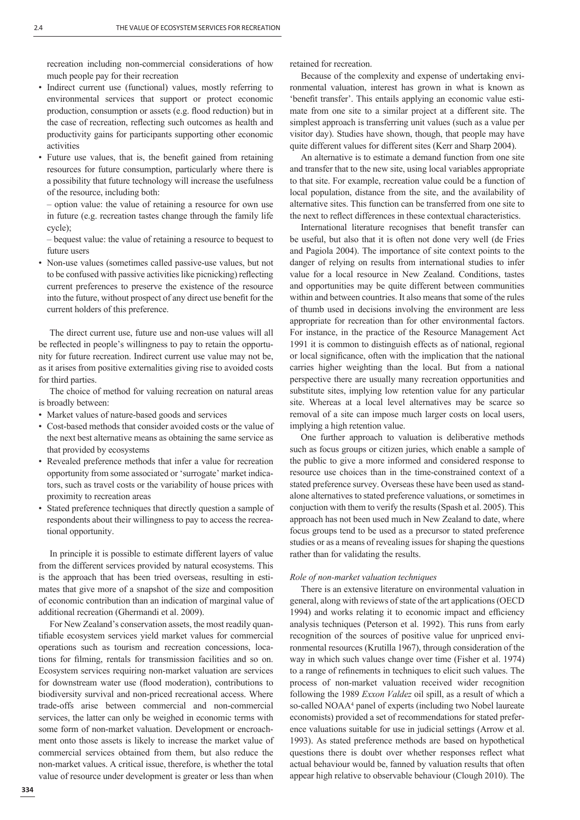recreation including non-commercial considerations of how much people pay for their recreation

- Indirect current use (functional) values, mostly referring to environmental services that support or protect economic production, consumption or assets (e.g. flood reduction) but in the case of recreation, reflecting such outcomes as health and productivity gains for participants supporting other economic activities
- Future use values, that is, the benefit gained from retaining resources for future consumption, particularly where there is a possibility that future technology will increase the usefulness of the resource, including both:

 – option value: the value of retaining a resource for own use in future (e.g. recreation tastes change through the family life cycle);

 – bequest value: the value of retaining a resource to bequest to future users

• Non-use values (sometimes called passive-use values, but not to be confused with passive activities like picnicking) reflecting current preferences to preserve the existence of the resource into the future, without prospect of any direct use benefit for the current holders of this preference.

The direct current use, future use and non-use values will all be reflected in people's willingness to pay to retain the opportunity for future recreation. Indirect current use value may not be, as it arises from positive externalities giving rise to avoided costs for third parties.

The choice of method for valuing recreation on natural areas is broadly between:

- Market values of nature-based goods and services
- Cost-based methods that consider avoided costs or the value of the next best alternative means as obtaining the same service as that provided by ecosystems
- Revealed preference methods that infer a value for recreation opportunity from some associated or 'surrogate' market indicators, such as travel costs or the variability of house prices with proximity to recreation areas
- Stated preference techniques that directly question a sample of respondents about their willingness to pay to access the recreational opportunity.

In principle it is possible to estimate different layers of value from the different services provided by natural ecosystems. This is the approach that has been tried overseas, resulting in estimates that give more of a snapshot of the size and composition of economic contribution than an indication of marginal value of additional recreation (Ghermandi et al. 2009).

For New Zealand's conservation assets, the most readily quantifiable ecosystem services yield market values for commercial operations such as tourism and recreation concessions, locations for filming, rentals for transmission facilities and so on. Ecosystem services requiring non-market valuation are services for downstream water use (flood moderation), contributions to biodiversity survival and non-priced recreational access. Where trade-offs arise between commercial and non-commercial services, the latter can only be weighed in economic terms with some form of non-market valuation. Development or encroachment onto those assets is likely to increase the market value of commercial services obtained from them, but also reduce the non-market values. A critical issue, therefore, is whether the total value of resource under development is greater or less than when

retained for recreation.

Because of the complexity and expense of undertaking environmental valuation, interest has grown in what is known as 'benefit transfer'. This entails applying an economic value estimate from one site to a similar project at a different site. The simplest approach is transferring unit values (such as a value per visitor day). Studies have shown, though, that people may have quite different values for different sites (Kerr and Sharp 2004).

An alternative is to estimate a demand function from one site and transfer that to the new site, using local variables appropriate to that site. For example, recreation value could be a function of local population, distance from the site, and the availability of alternative sites. This function can be transferred from one site to the next to reflect differences in these contextual characteristics.

International literature recognises that benefit transfer can be useful, but also that it is often not done very well (de Fries and Pagiola 2004). The importance of site context points to the danger of relying on results from international studies to infer value for a local resource in New Zealand. Conditions, tastes and opportunities may be quite different between communities within and between countries. It also means that some of the rules of thumb used in decisions involving the environment are less appropriate for recreation than for other environmental factors. For instance, in the practice of the Resource Management Act 1991 it is common to distinguish effects as of national, regional or local significance, often with the implication that the national carries higher weighting than the local. But from a national perspective there are usually many recreation opportunities and substitute sites, implying low retention value for any particular site. Whereas at a local level alternatives may be scarce so removal of a site can impose much larger costs on local users, implying a high retention value.

One further approach to valuation is deliberative methods such as focus groups or citizen juries, which enable a sample of the public to give a more informed and considered response to resource use choices than in the time-constrained context of a stated preference survey. Overseas these have been used as standalone alternatives to stated preference valuations, or sometimes in conjuction with them to verify the results (Spash et al. 2005). This approach has not been used much in New Zealand to date, where focus groups tend to be used as a precursor to stated preference studies or as a means of revealing issues for shaping the questions rather than for validating the results.

#### *Role of non-market valuation techniques*

There is an extensive literature on environmental valuation in general, along with reviews of state of the art applications (OECD 1994) and works relating it to economic impact and efficiency analysis techniques (Peterson et al. 1992). This runs from early recognition of the sources of positive value for unpriced environmental resources (Krutilla 1967), through consideration of the way in which such values change over time (Fisher et al. 1974) to a range of refinements in techniques to elicit such values. The process of non-market valuation received wider recognition following the 1989 *Exxon Valdez* oil spill, as a result of which a so-called NOAA<sup>4</sup> panel of experts (including two Nobel laureate economists) provided a set of recommendations for stated preference valuations suitable for use in judicial settings (Arrow et al. 1993). As stated preference methods are based on hypothetical questions there is doubt over whether responses reflect what actual behaviour would be, fanned by valuation results that often appear high relative to observable behaviour (Clough 2010). The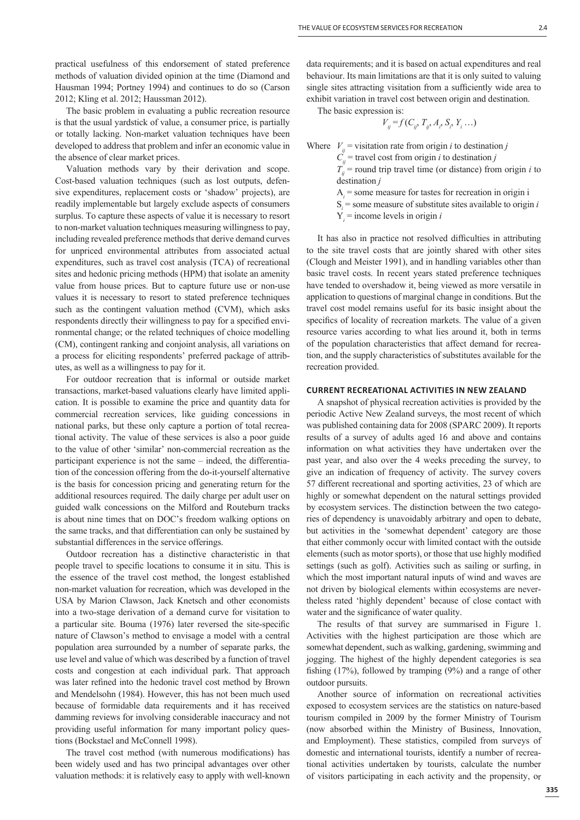practical usefulness of this endorsement of stated preference methods of valuation divided opinion at the time (Diamond and Hausman 1994; Portney 1994) and continues to do so (Carson 2012; Kling et al. 2012; Haussman 2012).

The basic problem in evaluating a public recreation resource is that the usual yardstick of value, a consumer price, is partially or totally lacking. Non-market valuation techniques have been developed to address that problem and infer an economic value in the absence of clear market prices.

Valuation methods vary by their derivation and scope. Cost-based valuation techniques (such as lost outputs, defensive expenditures, replacement costs or 'shadow' projects), are readily implementable but largely exclude aspects of consumers surplus. To capture these aspects of value it is necessary to resort to non-market valuation techniques measuring willingness to pay, including revealed preference methods that derive demand curves for unpriced environmental attributes from associated actual expenditures, such as travel cost analysis (TCA) of recreational sites and hedonic pricing methods (HPM) that isolate an amenity value from house prices. But to capture future use or non-use values it is necessary to resort to stated preference techniques such as the contingent valuation method (CVM), which asks respondents directly their willingness to pay for a specified environmental change; or the related techniques of choice modelling (CM), contingent ranking and conjoint analysis, all variations on a process for eliciting respondents' preferred package of attributes, as well as a willingness to pay for it.

For outdoor recreation that is informal or outside market transactions, market-based valuations clearly have limited application. It is possible to examine the price and quantity data for commercial recreation services, like guiding concessions in national parks, but these only capture a portion of total recreational activity. The value of these services is also a poor guide to the value of other 'similar' non-commercial recreation as the participant experience is not the same – indeed, the differentiation of the concession offering from the do-it-yourself alternative is the basis for concession pricing and generating return for the additional resources required. The daily charge per adult user on guided walk concessions on the Milford and Routeburn tracks is about nine times that on DOC's freedom walking options on the same tracks, and that differentiation can only be sustained by substantial differences in the service offerings.

Outdoor recreation has a distinctive characteristic in that people travel to specific locations to consume it in situ. This is the essence of the travel cost method, the longest established non-market valuation for recreation, which was developed in the USA by Marion Clawson, Jack Knetsch and other economists into a two-stage derivation of a demand curve for visitation to a particular site. Bouma (1976) later reversed the site-specific nature of Clawson's method to envisage a model with a central population area surrounded by a number of separate parks, the use level and value of which was described by a function of travel costs and congestion at each individual park. That approach was later refined into the hedonic travel cost method by Brown and Mendelsohn (1984). However, this has not been much used because of formidable data requirements and it has received damming reviews for involving considerable inaccuracy and not providing useful information for many important policy questions (Bockstael and McConnell 1998).

The travel cost method (with numerous modifications) has been widely used and has two principal advantages over other valuation methods: it is relatively easy to apply with well-known data requirements; and it is based on actual expenditures and real behaviour. Its main limitations are that it is only suited to valuing single sites attracting visitation from a sufficiently wide area to exhibit variation in travel cost between origin and destination.

The basic expression is:

$$
V_{ij} = f(C_{ij}, T_{ij}, A_i, S_i, Y_i \dots)
$$

Where  $V_{ii}$  = visitation rate from origin *i* to destination *j* 

 $C_{ij}$  = travel cost from origin *i* to destination *j* 

 $T_{ii}$  = round trip travel time (or distance) from origin *i* to destination *j*

 $A_i$  = some measure for tastes for recreation in origin i

 $S_i$  = some measure of substitute sites available to origin *i* 

 $Y_i$  = income levels in origin *i* 

It has also in practice not resolved difficulties in attributing to the site travel costs that are jointly shared with other sites (Clough and Meister 1991), and in handling variables other than basic travel costs. In recent years stated preference techniques have tended to overshadow it, being viewed as more versatile in application to questions of marginal change in conditions. But the travel cost model remains useful for its basic insight about the specifics of locality of recreation markets. The value of a given resource varies according to what lies around it, both in terms of the population characteristics that affect demand for recreation, and the supply characteristics of substitutes available for the recreation provided.

#### **CURRENT RECREATIONAL ACTIVITIES IN NEW ZEALAND**

A snapshot of physical recreation activities is provided by the periodic Active New Zealand surveys, the most recent of which was published containing data for 2008 (SPARC 2009). It reports results of a survey of adults aged 16 and above and contains information on what activities they have undertaken over the past year, and also over the 4 weeks preceding the survey, to give an indication of frequency of activity. The survey covers 57 different recreational and sporting activities, 23 of which are highly or somewhat dependent on the natural settings provided by ecosystem services. The distinction between the two categories of dependency is unavoidably arbitrary and open to debate, but activities in the 'somewhat dependent' category are those that either commonly occur with limited contact with the outside elements (such as motor sports), or those that use highly modified settings (such as golf). Activities such as sailing or surfing, in which the most important natural inputs of wind and waves are not driven by biological elements within ecosystems are nevertheless rated 'highly dependent' because of close contact with water and the significance of water quality.

The results of that survey are summarised in Figure 1. Activities with the highest participation are those which are somewhat dependent, such as walking, gardening, swimming and jogging. The highest of the highly dependent categories is sea fishing  $(17%)$ , followed by tramping  $(9%)$  and a range of other outdoor pursuits.

Another source of information on recreational activities exposed to ecosystem services are the statistics on nature-based tourism compiled in 2009 by the former Ministry of Tourism (now absorbed within the Ministry of Business, Innovation, and Employment). These statistics, compiled from surveys of domestic and international tourists, identify a number of recreational activities undertaken by tourists, calculate the number of visitors participating in each activity and the propensity, or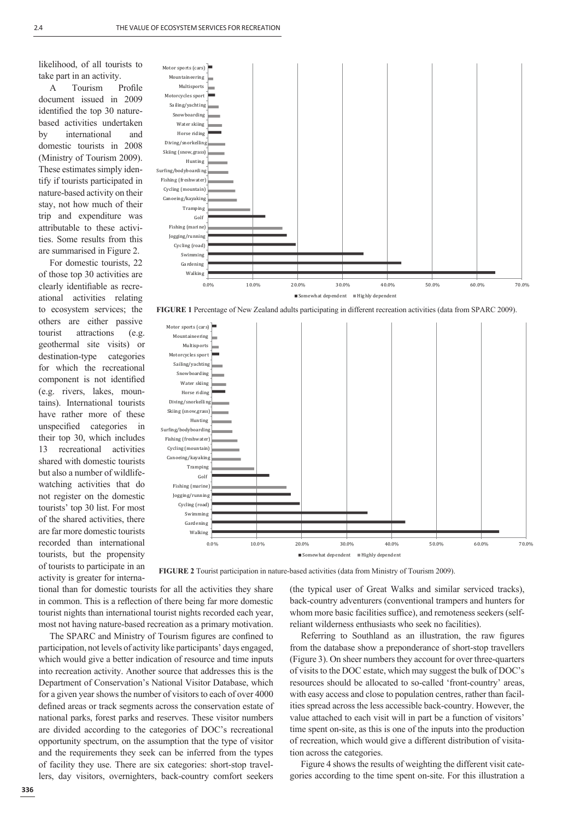likelihood, of all tourists to take part in an activity.

A Tourism Profile document issued in 2009 identified the top 30 naturebased activities undertaken by international and domestic tourists in 2008 (Ministry of Tourism 2009). These estimates simply identify if tourists participated in nature-based activity on their stay, not how much of their trip and expenditure was attributable to these activities. Some results from this are summarised in Figure 2.

For domestic tourists, 22 of those top 30 activities are clearly identifiable as recreational activities relating to ecosystem services; the others are either passive tourist attractions (e.g. geothermal site visits) or destination-type categories for which the recreational component is not identified (e.g. rivers, lakes, mountains). International tourists have rather more of these unspecified categories in their top 30, which includes 13 recreational activities shared with domestic tourists but also a number of wildlifewatching activities that do not register on the domestic tourists' top 30 list. For most of the shared activities, there are far more domestic tourists recorded than international tourists, but the propensity of tourists to participate in an activity is greater for interna-



**FIGURE 1** Percentage of New Zealand adults participating in different recreation activities (data from SPARC 2009).



**FIGURE 2** Tourist participation in nature-based activities (data from Ministry of Tourism 2009).

tional than for domestic tourists for all the activities they share in common. This is a reflection of there being far more domestic tourist nights than international tourist nights recorded each year, most not having nature-based recreation as a primary motivation.

The SPARC and Ministry of Tourism figures are confined to participation, not levels of activity like participants' days engaged, which would give a better indication of resource and time inputs into recreation activity. Another source that addresses this is the Department of Conservation's National Visitor Database, which for a given year shows the number of visitors to each of over 4000 defined areas or track segments across the conservation estate of national parks, forest parks and reserves. These visitor numbers are divided according to the categories of DOC's recreational opportunity spectrum, on the assumption that the type of visitor and the requirements they seek can be inferred from the types of facility they use. There are six categories: short-stop travellers, day visitors, overnighters, back-country comfort seekers

(the typical user of Great Walks and similar serviced tracks), back-country adventurers (conventional trampers and hunters for whom more basic facilities suffice), and remoteness seekers (selfreliant wilderness enthusiasts who seek no facilities).

Referring to Southland as an illustration, the raw figures from the database show a preponderance of short-stop travellers (Figure 3). On sheer numbers they account for over three-quarters of visits to the DOC estate, which may suggest the bulk of DOC's resources should be allocated to so-called 'front-country' areas, with easy access and close to population centres, rather than facilities spread across the less accessible back-country. However, the value attached to each visit will in part be a function of visitors' time spent on-site, as this is one of the inputs into the production of recreation, which would give a different distribution of visitation across the categories.

Figure 4 shows the results of weighting the different visit categories according to the time spent on-site. For this illustration a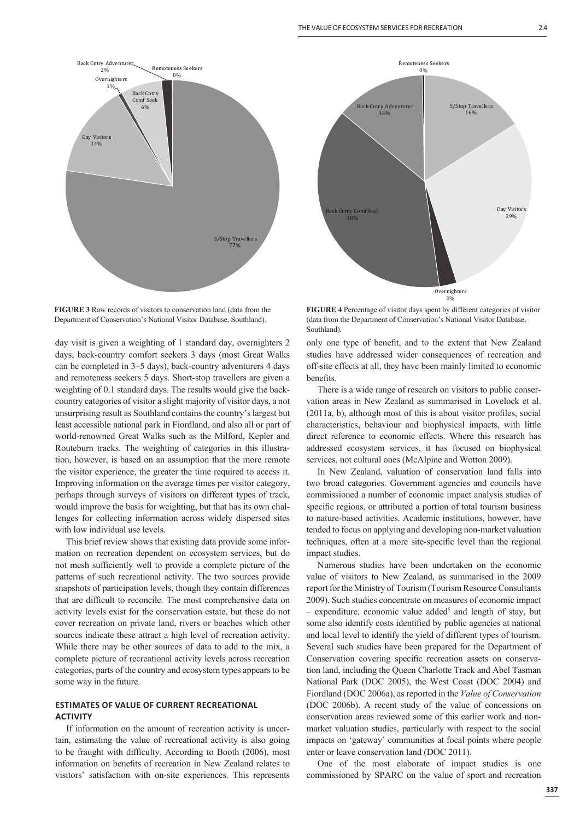

**FIGURE 3** Raw records of visitors to conservation land (data from the Department of Conservation's National Visitor Database, Southland).

day visit is given a weighting of 1 standard day, overnighters 2 days, back-country comfort seekers 3 days (most Great Walks can be completed in 3–5 days), back-country adventurers 4 days and remoteness seekers 5 days. Short-stop travellers are given a weighting of 0.1 standard days. The results would give the backcountry categories of visitor a slight majority of visitor days, a not unsurprising result as Southland contains the country's largest but least accessible national park in Fiordland, and also all or part of world-renowned Great Walks such as the Milford, Kepler and Routeburn tracks. The weighting of categories in this illustration, however, is based on an assumption that the more remote the visitor experience, the greater the time required to access it. Improving information on the average times per visitor category, perhaps through surveys of visitors on different types of track, would improve the basis for weighting, but that has its own challenges for collecting information across widely dispersed sites with low individual use levels.

This brief review shows that existing data provide some information on recreation dependent on ecosystem services, but do not mesh sufficiently well to provide a complete picture of the patterns of such recreational activity. The two sources provide snapshots of participation levels, though they contain differences that are difficult to reconcile. The most comprehensive data on activity levels exist for the conservation estate, but these do not cover recreation on private land, rivers or beaches which other sources indicate these attract a high level of recreation activity. While there may be other sources of data to add to the mix, a complete picture of recreational activity levels across recreation categories, parts of the country and ecosystem types appears to be some way in the future.

### **ESTIMATES OF VALUE OF CURRENT RECREATIONAL ACTIVITY**

If information on the amount of recreation activity is uncertain, estimating the value of recreational activity is also going to be fraught with difficulty. According to Booth (2006), most information on benefits of recreation in New Zealand relates to visitors' satisfaction with on-site experiences. This represents



**FIGURE 4** Percentage of visitor days spent by different categories of visitor (data from the Department of Conservation's National Visitor Database, Southland).

only one type of benefit, and to the extent that New Zealand studies have addressed wider consequences of recreation and off-site effects at all, they have been mainly limited to economic benefits.

There is a wide range of research on visitors to public conservation areas in New Zealand as summarised in Lovelock et al.  $(2011a, b)$ , although most of this is about visitor profiles, social characteristics, behaviour and biophysical impacts, with little direct reference to economic effects. Where this research has addressed ecosystem services, it has focused on biophysical services, not cultural ones (McAlpine and Wotton 2009).

In New Zealand, valuation of conservation land falls into two broad categories. Government agencies and councils have commissioned a number of economic impact analysis studies of specific regions, or attributed a portion of total tourism business to nature-based activities. Academic institutions, however, have tended to focus on applying and developing non-market valuation techniques, often at a more site-specific level than the regional impact studies.

Numerous studies have been undertaken on the economic value of visitors to New Zealand, as summarised in the 2009 report for the Ministry of Tourism (Tourism Resource Consultants 2009). Such studies concentrate on measures of economic impact - expenditure, economic value added<sup>5</sup> and length of stay, but some also identify costs identified by public agencies at national and local level to identify the yield of different types of tourism. Several such studies have been prepared for the Department of Conservation covering specific recreation assets on conservation land, including the Queen Charlotte Track and Abel Tasman National Park (DOC 2005), the West Coast (DOC 2004) and Fiordland (DOC 2006a), as reported in the *Value of Conservation* (DOC 2006b). A recent study of the value of concessions on conservation areas reviewed some of this earlier work and nonmarket valuation studies, particularly with respect to the social impacts on 'gateway' communities at focal points where people enter or leave conservation land (DOC 2011).

One of the most elaborate of impact studies is one commissioned by SPARC on the value of sport and recreation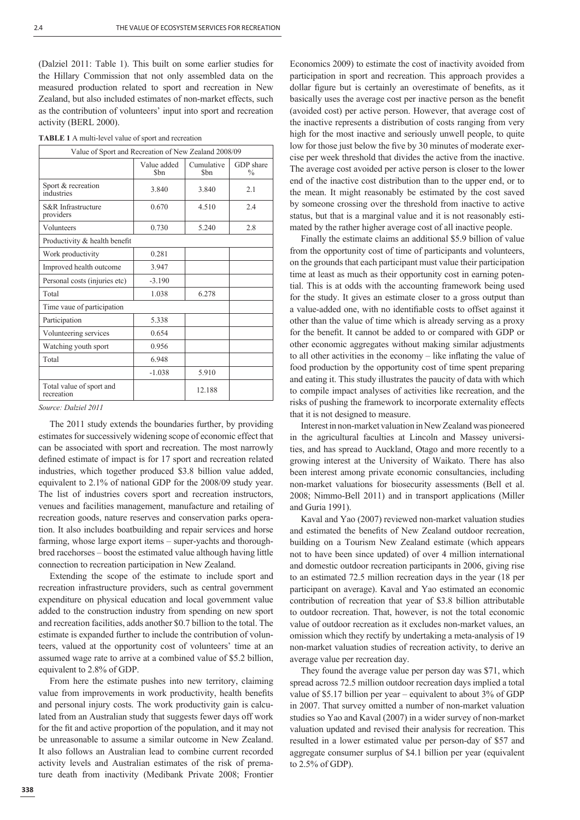(Dalziel 2011: Table 1). This built on some earlier studies for the Hillary Commission that not only assembled data on the measured production related to sport and recreation in New Zealand, but also included estimates of non-market effects, such as the contribution of volunteers' input into sport and recreation activity (BERL 2000).

| Value of Sport and Recreation of New Zealand 2008/09 |                     |                    |                            |
|------------------------------------------------------|---------------------|--------------------|----------------------------|
|                                                      | Value added<br>\$bn | Cumulative<br>\$bn | GDP share<br>$\frac{0}{0}$ |
| Sport & recreation<br>industries                     | 3.840               | 3.840              | 2.1                        |
| S&R Infrastructure<br>providers                      | 0.670               | 4.510              | 2.4                        |
| Volunteers                                           | 0.730               | 5.240              | 2.8                        |
| Productivity & health benefit                        |                     |                    |                            |
| Work productivity                                    | 0.281               |                    |                            |
| Improved health outcome                              | 3.947               |                    |                            |
| Personal costs (injuries etc)                        | $-3.190$            |                    |                            |
| Total                                                | 1.038               | 6.278              |                            |
| Time vaue of participation                           |                     |                    |                            |
| Participation                                        | 5.338               |                    |                            |
| Volunteering services                                | 0.654               |                    |                            |
| Watching youth sport                                 | 0.956               |                    |                            |
| Total                                                | 6.948               |                    |                            |
|                                                      | $-1.038$            | 5.910              |                            |
| Total value of sport and<br>recreation               |                     | 12.188             |                            |

| <b>TABLE 1</b> A multi-level value of sport and recreation |  |  |
|------------------------------------------------------------|--|--|
|------------------------------------------------------------|--|--|

#### *Source: Dalziel 2011*

The 2011 study extends the boundaries further, by providing estimates for successively widening scope of economic effect that can be associated with sport and recreation. The most narrowly defined estimate of impact is for 17 sport and recreation related industries, which together produced \$3.8 billion value added, equivalent to 2.1% of national GDP for the 2008/09 study year. The list of industries covers sport and recreation instructors, venues and facilities management, manufacture and retailing of recreation goods, nature reserves and conservation parks operation. It also includes boatbuilding and repair services and horse farming, whose large export items – super-yachts and thoroughbred racehorses – boost the estimated value although having little connection to recreation participation in New Zealand.

Extending the scope of the estimate to include sport and recreation infrastructure providers, such as central government expenditure on physical education and local government value added to the construction industry from spending on new sport and recreation facilities, adds another \$0.7 billion to the total. The estimate is expanded further to include the contribution of volunteers, valued at the opportunity cost of volunteers' time at an assumed wage rate to arrive at a combined value of \$5.2 billion, equivalent to 2.8% of GDP.

From here the estimate pushes into new territory, claiming value from improvements in work productivity, health benefits and personal injury costs. The work productivity gain is calculated from an Australian study that suggests fewer days off work for the fit and active proportion of the population, and it may not be unreasonable to assume a similar outcome in New Zealand. It also follows an Australian lead to combine current recorded activity levels and Australian estimates of the risk of premature death from inactivity (Medibank Private 2008; Frontier Economics 2009) to estimate the cost of inactivity avoided from participation in sport and recreation. This approach provides a dollar figure but is certainly an overestimate of benefits, as it basically uses the average cost per inactive person as the benefit (avoided cost) per active person. However, that average cost of the inactive represents a distribution of costs ranging from very high for the most inactive and seriously unwell people, to quite low for those just below the five by 30 minutes of moderate exercise per week threshold that divides the active from the inactive. The average cost avoided per active person is closer to the lower end of the inactive cost distribution than to the upper end, or to the mean. It might reasonably be estimated by the cost saved by someone crossing over the threshold from inactive to active status, but that is a marginal value and it is not reasonably estimated by the rather higher average cost of all inactive people.

Finally the estimate claims an additional \$5.9 billion of value from the opportunity cost of time of participants and volunteers, on the grounds that each participant must value their participation time at least as much as their opportunity cost in earning potential. This is at odds with the accounting framework being used for the study. It gives an estimate closer to a gross output than a value-added one, with no identifiable costs to offset against it other than the value of time which is already serving as a proxy for the benefit. It cannot be added to or compared with GDP or other economic aggregates without making similar adjustments to all other activities in the economy – like inflating the value of food production by the opportunity cost of time spent preparing and eating it. This study illustrates the paucity of data with which to compile impact analyses of activities like recreation, and the risks of pushing the framework to incorporate externality effects that it is not designed to measure.

Interest in non-market valuation in New Zealand was pioneered in the agricultural faculties at Lincoln and Massey universities, and has spread to Auckland, Otago and more recently to a growing interest at the University of Waikato. There has also been interest among private economic consultancies, including non-market valuations for biosecurity assessments (Bell et al. 2008; Nimmo-Bell 2011) and in transport applications (Miller and Guria 1991).

Kaval and Yao (2007) reviewed non-market valuation studies and estimated the benefits of New Zealand outdoor recreation. building on a Tourism New Zealand estimate (which appears not to have been since updated) of over 4 million international and domestic outdoor recreation participants in 2006, giving rise to an estimated 72.5 million recreation days in the year (18 per participant on average). Kaval and Yao estimated an economic contribution of recreation that year of \$3.8 billion attributable to outdoor recreation. That, however, is not the total economic value of outdoor recreation as it excludes non-market values, an omission which they rectify by undertaking a meta-analysis of 19 non-market valuation studies of recreation activity, to derive an average value per recreation day.

They found the average value per person day was \$71, which spread across 72.5 million outdoor recreation days implied a total value of \$5.17 billion per year – equivalent to about 3% of GDP in 2007. That survey omitted a number of non-market valuation studies so Yao and Kaval (2007) in a wider survey of non-market valuation updated and revised their analysis for recreation. This resulted in a lower estimated value per person-day of \$57 and aggregate consumer surplus of \$4.1 billion per year (equivalent to 2.5% of GDP).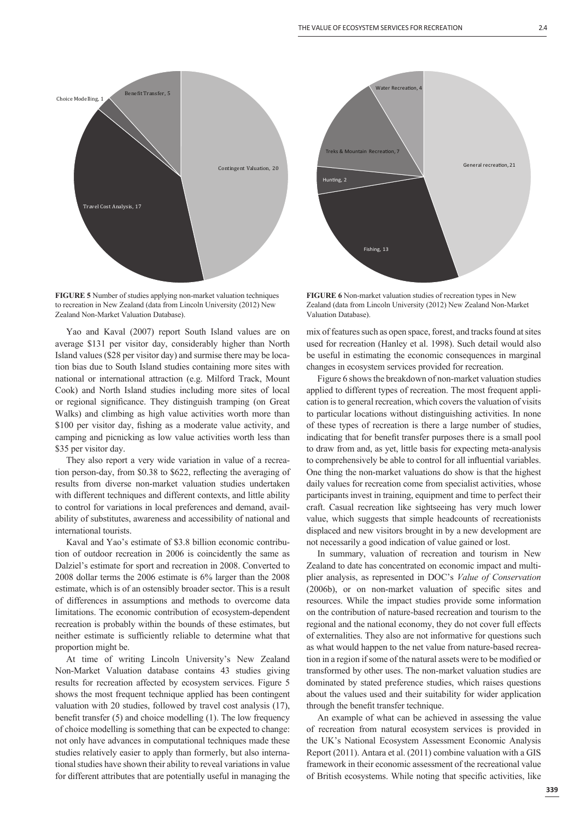

**FIGURE 5** Number of studies applying non-market valuation techniques to recreation in New Zealand (data from Lincoln University (2012) New Zealand Non-Market Valuation Database).

Yao and Kaval (2007) report South Island values are on average \$131 per visitor day, considerably higher than North Island values (\$28 per visitor day) and surmise there may be location bias due to South Island studies containing more sites with national or international attraction (e.g. Milford Track, Mount Cook) and North Island studies including more sites of local or regional significance. They distinguish tramping (on Great Walks) and climbing as high value activities worth more than \$100 per visitor day, fishing as a moderate value activity, and camping and picnicking as low value activities worth less than \$35 per visitor day.

They also report a very wide variation in value of a recreation person-day, from \$0.38 to \$622, reflecting the averaging of results from diverse non-market valuation studies undertaken with different techniques and different contexts, and little ability to control for variations in local preferences and demand, availability of substitutes, awareness and accessibility of national and international tourists.

Kaval and Yao's estimate of \$3.8 billion economic contribution of outdoor recreation in 2006 is coincidently the same as Dalziel's estimate for sport and recreation in 2008. Converted to 2008 dollar terms the 2006 estimate is 6% larger than the 2008 estimate, which is of an ostensibly broader sector. This is a result of differences in assumptions and methods to overcome data limitations. The economic contribution of ecosystem-dependent recreation is probably within the bounds of these estimates, but neither estimate is sufficiently reliable to determine what that proportion might be.

At time of writing Lincoln University's New Zealand Non-Market Valuation database contains 43 studies giving results for recreation affected by ecosystem services. Figure 5 shows the most frequent technique applied has been contingent valuation with 20 studies, followed by travel cost analysis (17), benefit transfer  $(5)$  and choice modelling  $(1)$ . The low frequency of choice modelling is something that can be expected to change: not only have advances in computational techniques made these studies relatively easier to apply than formerly, but also international studies have shown their ability to reveal variations in value for different attributes that are potentially useful in managing the



**FIGURE 6** Non-market valuation studies of recreation types in New Zealand (data from Lincoln University (2012) New Zealand Non-Market Valuation Database).

mix of features such as open space, forest, and tracks found at sites used for recreation (Hanley et al. 1998). Such detail would also be useful in estimating the economic consequences in marginal changes in ecosystem services provided for recreation.

Figure 6 shows the breakdown of non-market valuation studies applied to different types of recreation. The most frequent application is to general recreation, which covers the valuation of visits to particular locations without distinguishing activities. In none of these types of recreation is there a large number of studies, indicating that for benefit transfer purposes there is a small pool to draw from and, as yet, little basis for expecting meta-analysis to comprehensively be able to control for all influential variables. One thing the non-market valuations do show is that the highest daily values for recreation come from specialist activities, whose participants invest in training, equipment and time to perfect their craft. Casual recreation like sightseeing has very much lower value, which suggests that simple headcounts of recreationists displaced and new visitors brought in by a new development are not necessarily a good indication of value gained or lost.

In summary, valuation of recreation and tourism in New Zealand to date has concentrated on economic impact and multiplier analysis, as represented in DOC's *Value of Conservation*  (2006b), or on non-market valuation of specific sites and resources. While the impact studies provide some information on the contribution of nature-based recreation and tourism to the regional and the national economy, they do not cover full effects of externalities. They also are not informative for questions such as what would happen to the net value from nature-based recreation in a region if some of the natural assets were to be modified or transformed by other uses. The non-market valuation studies are dominated by stated preference studies, which raises questions about the values used and their suitability for wider application through the benefit transfer technique.

An example of what can be achieved in assessing the value of recreation from natural ecosystem services is provided in the UK's National Ecosystem Assessment Economic Analysis Report (2011). Antara et al. (2011) combine valuation with a GIS framework in their economic assessment of the recreational value of British ecosystems. While noting that specific activities, like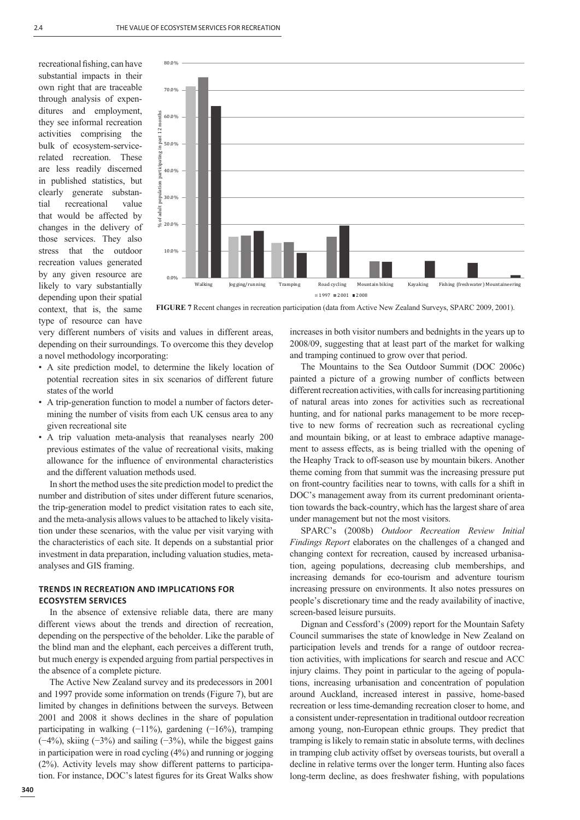recreational fishing, can have substantial impacts in their own right that are traceable through analysis of expenditures and employment, they see informal recreation activities comprising the bulk of ecosystem-servicerelated recreation. These are less readily discerned in published statistics, but clearly generate substantial recreational value that would be affected by changes in the delivery of those services. They also stress that the outdoor recreation values generated by any given resource are likely to vary substantially depending upon their spatial context, that is, the same type of resource can have



**FIGURE 7** Recent changes in recreation participation (data from Active New Zealand Surveys, SPARC 2009, 2001).

very different numbers of visits and values in different areas, depending on their surroundings. To overcome this they develop a novel methodology incorporating:

- A site prediction model, to determine the likely location of potential recreation sites in six scenarios of different future states of the world
- A trip-generation function to model a number of factors determining the number of visits from each UK census area to any given recreational site
- A trip valuation meta-analysis that reanalyses nearly 200 previous estimates of the value of recreational visits, making allowance for the influence of environmental characteristics and the different valuation methods used.

In short the method uses the site prediction model to predict the number and distribution of sites under different future scenarios, the trip-generation model to predict visitation rates to each site, and the meta-analysis allows values to be attached to likely visitation under these scenarios, with the value per visit varying with the characteristics of each site. It depends on a substantial prior investment in data preparation, including valuation studies, metaanalyses and GIS framing.

## **TRENDS IN RECREATION AND IMPLICATIONS FOR ECOSYSTEM SERVICES**

In the absence of extensive reliable data, there are many different views about the trends and direction of recreation, depending on the perspective of the beholder. Like the parable of the blind man and the elephant, each perceives a different truth, but much energy is expended arguing from partial perspectives in the absence of a complete picture.

The Active New Zealand survey and its predecessors in 2001 and 1997 provide some information on trends (Figure 7), but are limited by changes in definitions between the surveys. Between 2001 and 2008 it shows declines in the share of population participating in walking (−11%), gardening (−16%), tramping  $(-4%)$ , skiing  $(-3%)$  and sailing  $(-3%)$ , while the biggest gains in participation were in road cycling (4%) and running or jogging (2%). Activity levels may show different patterns to participation. For instance, DOC's latest figures for its Great Walks show

increases in both visitor numbers and bednights in the years up to 2008/09, suggesting that at least part of the market for walking and tramping continued to grow over that period.

The Mountains to the Sea Outdoor Summit (DOC 2006c) painted a picture of a growing number of conflicts between different recreation activities, with calls for increasing partitioning of natural areas into zones for activities such as recreational hunting, and for national parks management to be more receptive to new forms of recreation such as recreational cycling and mountain biking, or at least to embrace adaptive management to assess effects, as is being trialled with the opening of the Heaphy Track to off-season use by mountain bikers. Another theme coming from that summit was the increasing pressure put on front-country facilities near to towns, with calls for a shift in DOC's management away from its current predominant orientation towards the back-country, which has the largest share of area under management but not the most visitors.

SPARC's (2008b) *Outdoor Recreation Review Initial Findings Report* elaborates on the challenges of a changed and changing context for recreation, caused by increased urbanisation, ageing populations, decreasing club memberships, and increasing demands for eco-tourism and adventure tourism increasing pressure on environments. It also notes pressures on people's discretionary time and the ready availability of inactive, screen-based leisure pursuits.

Dignan and Cessford's (2009) report for the Mountain Safety Council summarises the state of knowledge in New Zealand on participation levels and trends for a range of outdoor recreation activities, with implications for search and rescue and ACC injury claims. They point in particular to the ageing of populations, increasing urbanisation and concentration of population around Auckland, increased interest in passive, home-based recreation or less time-demanding recreation closer to home, and a consistent under-representation in traditional outdoor recreation among young, non-European ethnic groups. They predict that tramping is likely to remain static in absolute terms, with declines in tramping club activity offset by overseas tourists, but overall a decline in relative terms over the longer term. Hunting also faces long-term decline, as does freshwater fishing, with populations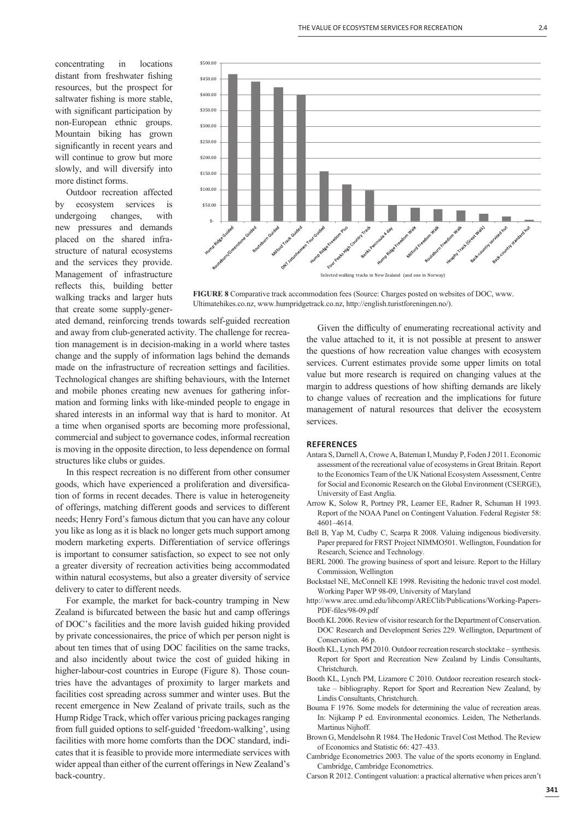concentrating in locations distant from freshwater fishing resources, but the prospect for saltwater fishing is more stable, with significant participation by non-European ethnic groups. Mountain biking has grown significantly in recent years and will continue to grow but more slowly, and will diversify into more distinct forms.

Outdoor recreation affected by ecosystem services is undergoing changes, with new pressures and demands placed on the shared infrastructure of natural ecosystems and the services they provide. Management of infrastructure reflects this, building better walking tracks and larger huts that create some supply-gener-



**FIGURE 8** Comparative track accommodation fees (Source: Charges posted on websites of DOC, www. Ultimatehikes.co.nz, www.humpridgetrack.co.nz, http://english.turistforeningen.no/).

ated demand, reinforcing trends towards self-guided recreation and away from club-generated activity. The challenge for recreation management is in decision-making in a world where tastes change and the supply of information lags behind the demands made on the infrastructure of recreation settings and facilities. Technological changes are shifting behaviours, with the Internet and mobile phones creating new avenues for gathering information and forming links with like-minded people to engage in shared interests in an informal way that is hard to monitor. At a time when organised sports are becoming more professional, commercial and subject to governance codes, informal recreation is moving in the opposite direction, to less dependence on formal structures like clubs or guides.

In this respect recreation is no different from other consumer goods, which have experienced a proliferation and diversification of forms in recent decades. There is value in heterogeneity of offerings, matching different goods and services to different needs; Henry Ford's famous dictum that you can have any colour you like as long as it is black no longer gets much support among modern marketing experts. Differentiation of service offerings is important to consumer satisfaction, so expect to see not only a greater diversity of recreation activities being accommodated within natural ecosystems, but also a greater diversity of service delivery to cater to different needs.

For example, the market for back-country tramping in New Zealand is bifurcated between the basic hut and camp offerings of DOC's facilities and the more lavish guided hiking provided by private concessionaires, the price of which per person night is about ten times that of using DOC facilities on the same tracks, and also incidently about twice the cost of guided hiking in higher-labour-cost countries in Europe (Figure 8). Those countries have the advantages of proximity to larger markets and facilities cost spreading across summer and winter uses. But the recent emergence in New Zealand of private trails, such as the Hump Ridge Track, which offer various pricing packages ranging from full guided options to self-guided 'freedom-walking', using facilities with more home comforts than the DOC standard, indicates that it is feasible to provide more intermediate services with wider appeal than either of the current offerings in New Zealand's back-country.

Given the difficulty of enumerating recreational activity and the value attached to it, it is not possible at present to answer the questions of how recreation value changes with ecosystem services. Current estimates provide some upper limits on total value but more research is required on changing values at the margin to address questions of how shifting demands are likely to change values of recreation and the implications for future management of natural resources that deliver the ecosystem services.

#### **REFERENCES**

- Antara S, Darnell A, Crowe A, Bateman I, Munday P, Foden J 2011. Economic assessment of the recreational value of ecosystems in Great Britain. Report to the Economics Team of the UK National Ecosystem Assessment, Centre for Social and Economic Research on the Global Environment (CSERGE), University of East Anglia.
- Arrow K, Solow R, Portney PR, Leamer EE, Radner R, Schuman H 1993. Report of the NOAA Panel on Contingent Valuation. Federal Register 58: 4601–4614.
- Bell B, Yap M, Cudby C, Scarpa R 2008. Valuing indigenous biodiversity. Paper prepared for FRST Project NIMMO501. Wellington, Foundation for Research, Science and Technology.
- BERL 2000. The growing business of sport and leisure. Report to the Hillary Commission, Wellington
- Bockstael NE, McConnell KE 1998. Revisiting the hedonic travel cost model. Working Paper WP 98-09, University of Maryland
- http://www.arec.umd.edu/libcomp/AREClib/Publications/Working-Papers-PDF-files/98-09.pdf
- Booth KL 2006. Review of visitor research for the Department of Conservation. DOC Research and Development Series 229. Wellington, Department of Conservation. 46 p.
- Booth KL, Lynch PM 2010. Outdoor recreation research stocktake synthesis. Report for Sport and Recreation New Zealand by Lindis Consultants, Christchurch.
- Booth KL, Lynch PM, Lizamore C 2010. Outdoor recreation research stocktake – bibliography. Report for Sport and Recreation New Zealand, by Lindis Consultants, Christchurch.
- Bouma F 1976. Some models for determining the value of recreation areas. In: Nijkamp P ed. Environmental economics. Leiden, The Netherlands. Martinus Nijhoff.
- Brown G, Mendelsohn R 1984. The Hedonic Travel Cost Method. The Review of Economics and Statistic 66: 427–433.
- Cambridge Econometrics 2003. The value of the sports economy in England. Cambridge, Cambridge Econometrics.
- Carson R 2012. Contingent valuation: a practical alternative when prices aren't